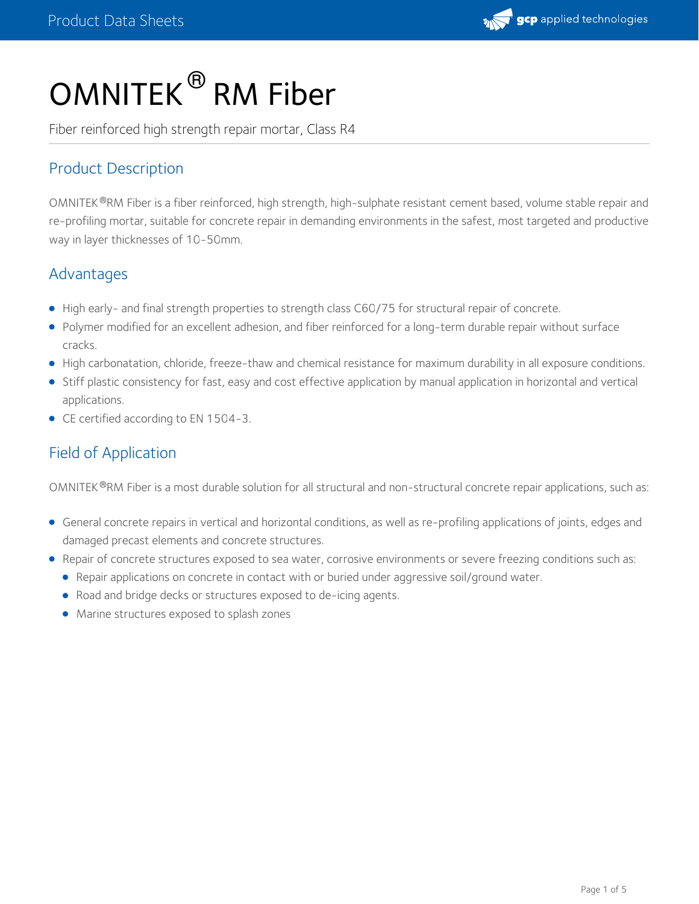# OMNITEK $^\circledR$  RM Fiber

Fiber reinforced high strength repair mortar, Class R4

## Product Description

OMNITEK®RM Fiber is a fiber reinforced, high strength, high-sulphate resistant cement based, volume stable repair and re-profiling mortar, suitable for concrete repair in demanding environments in the safest, most targeted and productive way in layer thicknesses of 10-50mm.

## Advantages

- High early- and final strength properties to strength class C60/75 for structural repair of concrete.
- Polymer modified for an excellent adhesion, and fiber reinforced for a long-term durable repair without surface cracks.
- High carbonatation, chloride, freeze-thaw and chemical resistance for maximum durability in all exposure conditions.
- Stiff plastic consistency for fast, easy and cost effective application by manual application in horizontal and vertical applications.
- CE certified according to EN 1504-3.

## Field of Application

OMNITEK®RM Fiber is a most durable solution for all structural and non-structural concrete repair applications, such as:

- General concrete repairs in vertical and horizontal conditions, as well as re-profiling applications of joints, edges and damaged precast elements and concrete structures.
- Repair of concrete structures exposed to sea water, corrosive environments or severe freezing conditions such as:
	- Repair applications on concrete in contact with or buried under aggressive soil/ground water.
	- Road and bridge decks or structures exposed to de-icing agents.
	- Marine structures exposed to splash zones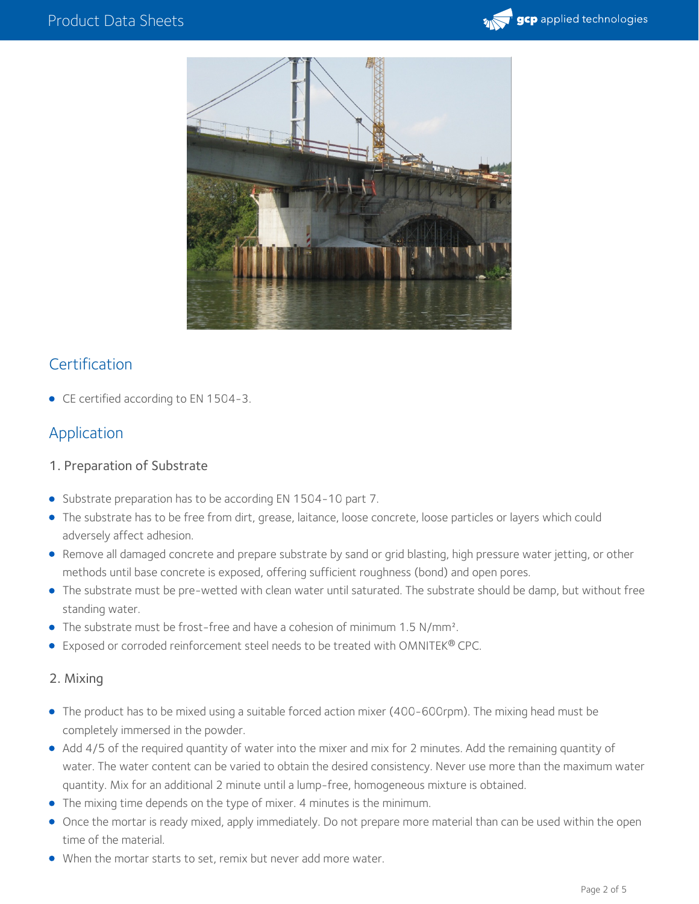



### **Certification**

• CE certified according to EN 1504-3.

## Application

- 1. Preparation of Substrate
- Substrate preparation has to be according EN 1504-10 part 7.
- The substrate has to be free from dirt, grease, laitance, loose concrete, loose particles or layers which could adversely affect adhesion.
- Remove all damaged concrete and prepare substrate by sand or grid blasting, high pressure water jetting, or other methods until base concrete is exposed, offering sufficient roughness (bond) and open pores.
- The substrate must be pre-wetted with clean water until saturated. The substrate should be damp, but without free standing water.
- The substrate must be frost-free and have a cohesion of minimum 1.5 N/mm<sup>2</sup>.
- Exposed or corroded reinforcement steel needs to be treated with OMNITEK® CPC.

#### 2. Mixing

- The product has to be mixed using a suitable forced action mixer (400-600rpm). The mixing head must be completely immersed in the powder.
- Add 4/5 of the required quantity of water into the mixer and mix for 2 minutes. Add the remaining quantity of water. The water content can be varied to obtain the desired consistency. Never use more than the maximum water quantity. Mix for an additional 2 minute until a lump-free, homogeneous mixture is obtained.
- The mixing time depends on the type of mixer. 4 minutes is the minimum.
- Once the mortar is ready mixed, apply immediately. Do not prepare more material than can be used within the open time of the material.
- When the mortar starts to set, remix but never add more water.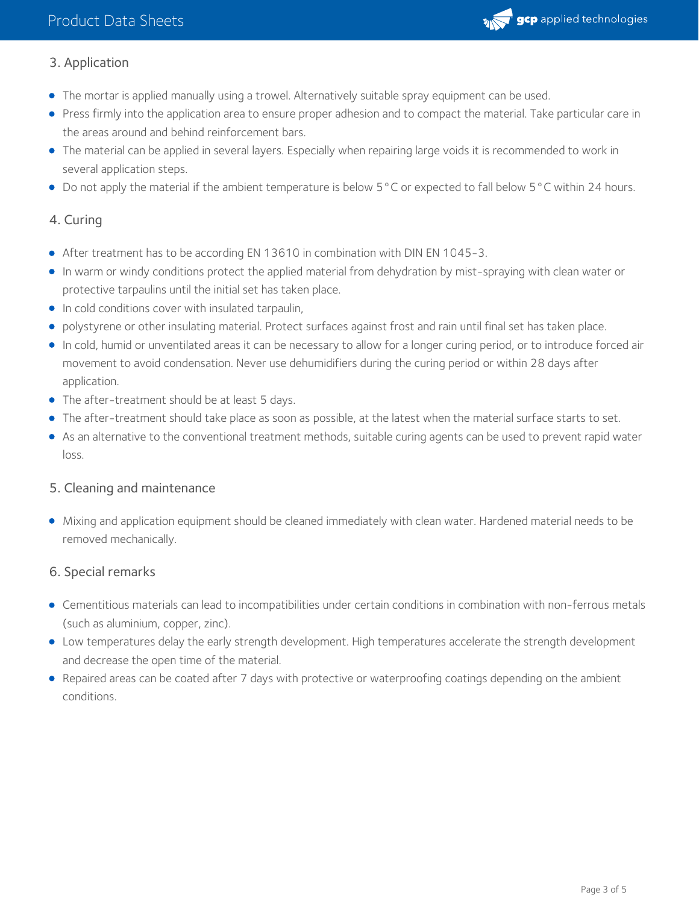

#### 3. Application

- The mortar is applied manually using a trowel. Alternatively suitable spray equipment can be used.
- Press firmly into the application area to ensure proper adhesion and to compact the material. Take particular care in the areas around and behind reinforcement bars.
- The material can be applied in several layers. Especially when repairing large voids it is recommended to work in several application steps.
- Do not apply the material if the ambient temperature is below 5°C or expected to fall below 5°C within 24 hours.

#### 4. Curing

- After treatment has to be according EN 13610 in combination with DIN EN 1045-3.
- In warm or windy conditions protect the applied material from dehydration by mist-spraying with clean water or protective tarpaulins until the initial set has taken place.
- **In cold conditions cover with insulated tarpaulin,**
- polystyrene or other insulating material. Protect surfaces against frost and rain until final set has taken place.
- In cold, humid or unventilated areas it can be necessary to allow for a longer curing period, or to introduce forced air movement to avoid condensation. Never use dehumidifiers during the curing period or within 28 days after application.
- The after-treatment should be at least 5 days.
- The after-treatment should take place as soon as possible, at the latest when the material surface starts to set.
- As an alternative to the conventional treatment methods, suitable curing agents can be used to prevent rapid water loss.

#### 5. Cleaning and maintenance

Mixing and application equipment should be cleaned immediately with clean water. Hardened material needs to be removed mechanically.

#### 6. Special remarks

- Cementitious materials can lead to incompatibilities under certain conditions in combination with non-ferrous metals (such as aluminium, copper, zinc).
- Low temperatures delay the early strength development. High temperatures accelerate the strength development and decrease the open time of the material.
- Repaired areas can be coated after 7 days with protective or waterproofing coatings depending on the ambient conditions.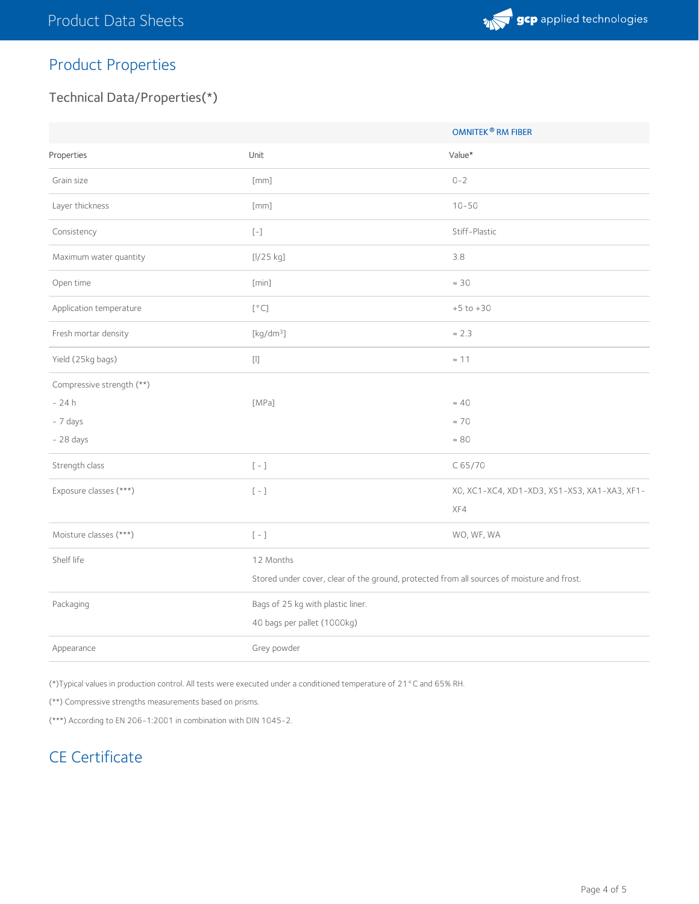

# Product Properties

## Technical Data/Properties(\*)

|                           |                                                                                                                                                                                                                                                                                                                                                                                                                                                                                    | <b>OMNITEK<sup>®</sup> RM FIBER</b>          |
|---------------------------|------------------------------------------------------------------------------------------------------------------------------------------------------------------------------------------------------------------------------------------------------------------------------------------------------------------------------------------------------------------------------------------------------------------------------------------------------------------------------------|----------------------------------------------|
| Properties                | Unit                                                                                                                                                                                                                                                                                                                                                                                                                                                                               | Value*                                       |
| Grain size                | [mm]                                                                                                                                                                                                                                                                                                                                                                                                                                                                               | $0 - 2$                                      |
| Layer thickness           | [mm]                                                                                                                                                                                                                                                                                                                                                                                                                                                                               | $10 - 50$                                    |
| Consistency               | $\left[\begin{smallmatrix} - \end{smallmatrix}\right]$                                                                                                                                                                                                                                                                                                                                                                                                                             | Stiff-Plastic                                |
| Maximum water quantity    | [l/25 kg]                                                                                                                                                                                                                                                                                                                                                                                                                                                                          | 3.8                                          |
| Open time                 | [min]                                                                                                                                                                                                                                                                                                                                                                                                                                                                              | $\approx 30$                                 |
| Application temperature   | [°C]                                                                                                                                                                                                                                                                                                                                                                                                                                                                               | $+5$ to $+30$                                |
| Fresh mortar density      | [kg/dm <sup>3</sup> ]                                                                                                                                                                                                                                                                                                                                                                                                                                                              | $\approx$ 2.3                                |
| Yield (25kg bags)         | $[] \centering \includegraphics[width=0.47\textwidth]{images/TrDiM1.png} \caption{The 3D (blue) and 4D (blue) are 4D (blue) and 4D (blue) are 4D (blue) and 4D (blue) are 4D (blue). The 4D (blue) is 4D (blue). The 4D (blue) is 4D (blue). The 4D (blue) is 4D (blue). The 4D (blue) is 4D (blue). The 4D (blue) is 4D (blue). The 4D (blue) is 4D (blue). The 4D (blue) is 4D (blue). The 4D (blue) is 4D (blue). The 4D (blue) is 4D (blue). The 4D (blue) is 4D (blue). The $ | $\approx$ 11                                 |
| Compressive strength (**) |                                                                                                                                                                                                                                                                                                                                                                                                                                                                                    |                                              |
| $-24h$                    | [MPa]                                                                                                                                                                                                                                                                                                                                                                                                                                                                              | $\approx 40$                                 |
| - 7 days                  |                                                                                                                                                                                                                                                                                                                                                                                                                                                                                    | $\approx$ 70                                 |
| $-28$ days                |                                                                                                                                                                                                                                                                                                                                                                                                                                                                                    | $\approx 80$                                 |
| Strength class            | $\left[\begin{array}{cc} - \end{array}\right]$                                                                                                                                                                                                                                                                                                                                                                                                                                     | C65/70                                       |
| Exposure classes (***)    | $\left[\begin{array}{c} - \end{array}\right]$                                                                                                                                                                                                                                                                                                                                                                                                                                      | X0, XC1-XC4, XD1-XD3, XS1-XS3, XA1-XA3, XF1- |
|                           |                                                                                                                                                                                                                                                                                                                                                                                                                                                                                    | XF4                                          |
| Moisture classes (***)    | $\left[\begin{array}{cc} - \end{array}\right]$                                                                                                                                                                                                                                                                                                                                                                                                                                     | WO, WF, WA                                   |
| Shelf life                | 12 Months                                                                                                                                                                                                                                                                                                                                                                                                                                                                          |                                              |
|                           | Stored under cover, clear of the ground, protected from all sources of moisture and frost.                                                                                                                                                                                                                                                                                                                                                                                         |                                              |
| Packaging                 | Bags of 25 kg with plastic liner.                                                                                                                                                                                                                                                                                                                                                                                                                                                  |                                              |
|                           | 40 bags per pallet (1000kg)                                                                                                                                                                                                                                                                                                                                                                                                                                                        |                                              |
| Appearance                | Grey powder                                                                                                                                                                                                                                                                                                                                                                                                                                                                        |                                              |

(\*)Typical values in production control. All tests were executed under a conditioned temperature of 21°C and 65% RH.

(\*\*) Compressive strengths measurements based on prisms.

(\*\*\*) According to EN 206-1:2001 in combination with DIN 1045-2.

# CE Certificate